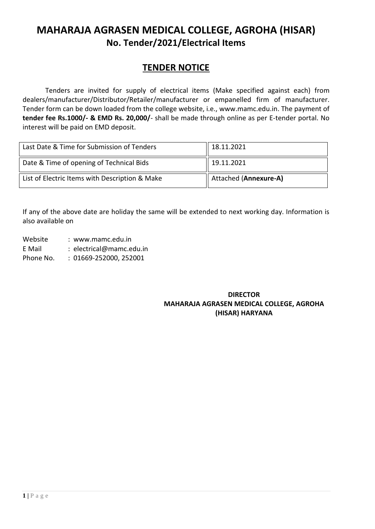# **MAHARAJA AGRASEN MEDICAL COLLEGE, AGROHA (HISAR) No. Tender/2021/Electrical Items**

# **TENDER NOTICE**

Tenders are invited for supply of electrical items (Make specified against each) from dealers/manufacturer/Distributor/Retailer/manufacturer or empanelled firm of manufacturer. Tender form can be down loaded from the college website, i.e., [www.mamc.edu.in.](http://www.mamc.edu.in/) The payment of **tender fee Rs.1000/- & EMD Rs. 20,000/**- shall be made through online as per E-tender portal. No interest will be paid on EMD deposit.

| Last Date & Time for Submission of Tenders     | 18.11.2021            |
|------------------------------------------------|-----------------------|
| Date & Time of opening of Technical Bids       | 19.11.2021            |
| List of Electric Items with Description & Make | Attached (Annexure-A) |

If any of the above date are holiday the same will be extended to next working day. Information is also available on

Website : www.mamc.edu.in E Mail : electrical@mamc.edu.in Phone No. : 01669-252000, 252001

## **DIRECTOR MAHARAJA AGRASEN MEDICAL COLLEGE, AGROHA (HISAR) HARYANA**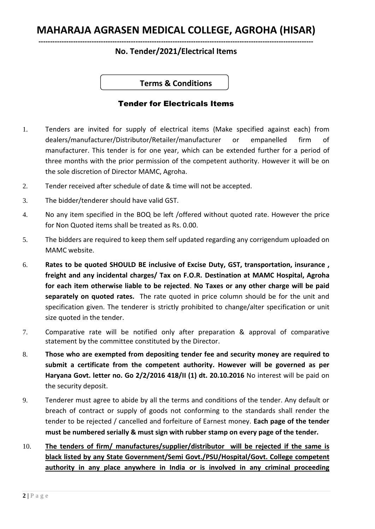# **MAHARAJA AGRASEN MEDICAL COLLEGE, AGROHA (HISAR)**

#### **----------------------------------------------------------------------------------------------------------------------- No. Tender/2021/Electrical Items**

## **Terms & Conditions**

## Tender for Electricals Items

- 1. Tenders are invited for supply of electrical items (Make specified against each) from dealers/manufacturer/Distributor/Retailer/manufacturer or empanelled firm of manufacturer. This tender is for one year, which can be extended further for a period of three months with the prior permission of the competent authority. However it will be on the sole discretion of Director MAMC, Agroha.
- 2. Tender received after schedule of date & time will not be accepted.
- 3. The bidder/tenderer should have valid GST.
- 4. No any item specified in the BOQ be left /offered without quoted rate. However the price for Non Quoted items shall be treated as Rs. 0.00.
- 5. The bidders are required to keep them self updated regarding any corrigendum uploaded on MAMC website.
- 6. **Rates to be quoted SHOULD BE inclusive of Excise Duty, GST, transportation, insurance , freight and any incidental charges/ Tax on F.O.R. Destination at MAMC Hospital, Agroha for each item otherwise liable to be rejected**. **No Taxes or any other charge will be paid separately on quoted rates.** The rate quoted in price column should be for the unit and specification given. The tenderer is strictly prohibited to change/alter specification or unit size quoted in the tender.
- 7. Comparative rate will be notified only after preparation & approval of comparative statement by the committee constituted by the Director.
- 8. **Those who are exempted from depositing tender fee and security money are required to submit a certificate from the competent authority. However will be governed as per Haryana Govt. letter no. Go 2/2/2016 418/II (1) dt. 20.10.2016** No interest will be paid on the security deposit.
- 9. Tenderer must agree to abide by all the terms and conditions of the tender. Any default or breach of contract or supply of goods not conforming to the standards shall render the tender to be rejected / cancelled and forfeiture of Earnest money. **Each page of the tender must be numbered serially & must sign with rubber stamp on every page of the tender.**
- 10. **The tenders of firm/ manufactures/supplier/distributor will be rejected if the same is black listed by any State Government/Semi Govt./PSU/Hospital/Govt. College competent authority in any place anywhere in India or is involved in any criminal proceeding**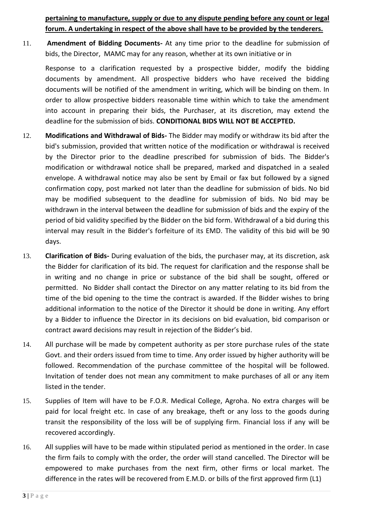**pertaining to manufacture, supply or due to any dispute pending before any count or legal forum. A undertaking in respect of the above shall have to be provided by the tenderers.** 

11. **Amendment of Bidding Documents-** At any time prior to the deadline for submission of bids, the Director, MAMC may for any reason, whether at its own initiative or in

Response to a clarification requested by a prospective bidder, modify the bidding documents by amendment. All prospective bidders who have received the bidding documents will be notified of the amendment in writing, which will be binding on them. In order to allow prospective bidders reasonable time within which to take the amendment into account in preparing their bids, the Purchaser, at its discretion, may extend the deadline for the submission of bids. **CONDITIONAL BIDS WILL NOT BE ACCEPTED.**

- 12. **Modifications and Withdrawal of Bids-** The Bidder may modify or withdraw its bid after the bid's submission, provided that written notice of the modification or withdrawal is received by the Director prior to the deadline prescribed for submission of bids. The Bidder's modification or withdrawal notice shall be prepared, marked and dispatched in a sealed envelope. A withdrawal notice may also be sent by Email or fax but followed by a signed confirmation copy, post marked not later than the deadline for submission of bids. No bid may be modified subsequent to the deadline for submission of bids. No bid may be withdrawn in the interval between the deadline for submission of bids and the expiry of the period of bid validity specified by the Bidder on the bid form. Withdrawal of a bid during this interval may result in the Bidder's forfeiture of its EMD. The validity of this bid will be 90 days.
- 13. **Clarification of Bids-** During evaluation of the bids, the purchaser may, at its discretion, ask the Bidder for clarification of its bid. The request for clarification and the response shall be in writing and no change in price or substance of the bid shall be sought, offered or permitted. No Bidder shall contact the Director on any matter relating to its bid from the time of the bid opening to the time the contract is awarded. If the Bidder wishes to bring additional information to the notice of the Director it should be done in writing. Any effort by a Bidder to influence the Director in its decisions on bid evaluation, bid comparison or contract award decisions may result in rejection of the Bidder's bid.
- 14. All purchase will be made by competent authority as per store purchase rules of the state Govt. and their orders issued from time to time. Any order issued by higher authority will be followed. Recommendation of the purchase committee of the hospital will be followed. Invitation of tender does not mean any commitment to make purchases of all or any item listed in the tender.
- 15. Supplies of Item will have to be F.O.R. Medical College, Agroha. No extra charges will be paid for local freight etc. In case of any breakage, theft or any loss to the goods during transit the responsibility of the loss will be of supplying firm. Financial loss if any will be recovered accordingly.
- 16. All supplies will have to be made within stipulated period as mentioned in the order. In case the firm fails to comply with the order, the order will stand cancelled. The Director will be empowered to make purchases from the next firm, other firms or local market. The difference in the rates will be recovered from E.M.D. or bills of the first approved firm (L1)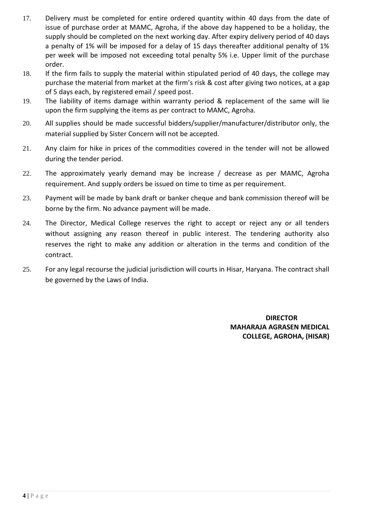- 17. Delivery must be completed for entire ordered quantity within 40 days from the date of issue of purchase order at MAMC, Agroha, if the above day happened to be a holiday, the supply should be completed on the next working day. After expiry delivery period of 40 days a penalty of 1% will be imposed for a delay of 15 days thereafter additional penalty of 1% per week will be imposed not exceeding total penalty 5% i.e. Upper limit of the purchase order.
- 18. If the firm fails to supply the material within stipulated period of 40 days, the college may purchase the material from market at the firm's risk & cost after giving two notices, at a gap of 5 days each, by registered email / speed post.
- 19. The liability of items damage within warranty period & replacement of the same will lie upon the firm supplying the items as per contract to MAMC, Agroha.
- 20. All supplies should be made successful bidders/supplier/manufacturer/distributor only, the material supplied by Sister Concern will not be accepted.
- 21. Any claim for hike in prices of the commodities covered in the tender will not be allowed during the tender period.
- 22. The approximately yearly demand may be increase / decrease as per MAMC, Agroha requirement. And supply orders be issued on time to time as per requirement.
- 23. Payment will be made by bank draft or banker cheque and bank commission thereof will be borne by the firm. No advance payment will be made.
- 24. The Director, Medical College reserves the right to accept or reject any or all tenders without assigning any reason thereof in public interest. The tendering authority also reserves the right to make any addition or alteration in the terms and condition of the contract.
- 25. For any legal recourse the judicial jurisdiction will courts in Hisar, Haryana. The contract shall be governed by the Laws of India.

 **DIRECTOR MAHARAJA AGRASEN MEDICAL COLLEGE, AGROHA, (HISAR)**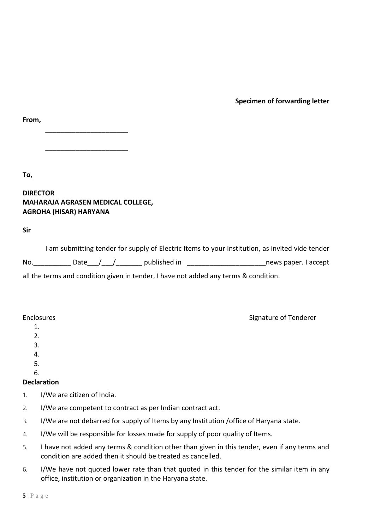**Specimen of forwarding letter**

| ۰. |
|----|
|----|

\_\_\_\_\_\_\_\_\_\_\_\_\_\_\_\_\_\_\_\_\_\_

**To,**

### **DIRECTOR MAHARAJA AGRASEN MEDICAL COLLEGE, AGROHA (HISAR) HARYANA**

\_\_\_\_\_\_\_\_\_\_\_\_\_\_\_\_\_\_\_\_\_\_

**Sir**

|     | I am submitting tender for supply of Electric Items to your institution, as invited vide tender |                      |
|-----|-------------------------------------------------------------------------------------------------|----------------------|
| No. | published in<br>Date /                                                                          | news paper. I accept |
|     | all the terms and condition given in tender, I have not added any terms & condition.            |                      |

#### Enclosures **Enclosures** Signature of Tenderer

1.

- $2<sub>1</sub>$
- 3.
- 4.

5. 6.

# **Declaration**

- 1. I/We are citizen of India.
- 2. I/We are competent to contract as per Indian contract act.
- 3. I/We are not debarred for supply of Items by any Institution /office of Haryana state.
- 4. I/We will be responsible for losses made for supply of poor quality of Items.
- 5. I have not added any terms & condition other than given in this tender, even if any terms and condition are added then it should be treated as cancelled.
- 6. I/We have not quoted lower rate than that quoted in this tender for the similar item in any office, institution or organization in the Haryana state.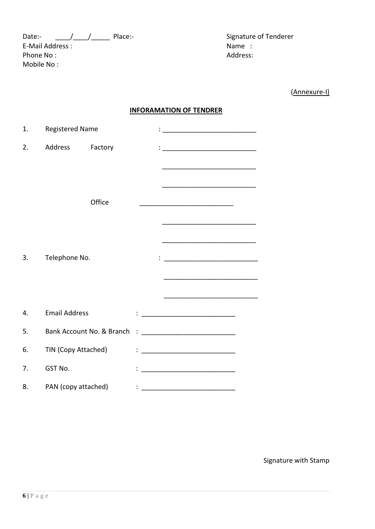Date:- \_\_\_\_/\_\_\_\_/\_\_\_\_\_ Place:- Signature of Tenderer E-Mail Address :<br>
Phone No : Name : Name : Name : Name : Name : Name : Name : Name : Name : Name : Name : Name : Name : Name : Name : Name : Name : Name : Name : Name : Name : Name : Name : Name : Name : Name : Name : Name Phone No: Mobile No :

(Annexure-I)

#### **INFORAMATION OF TENDRER**

| 1. | <b>Registered Name</b> |         |  | <u> 1989 - Johann Barbara, martxa alemaniar a</u>                                                                     |  |
|----|------------------------|---------|--|-----------------------------------------------------------------------------------------------------------------------|--|
| 2. | Address                | Factory |  |                                                                                                                       |  |
|    |                        |         |  | <u> 1989 - Johann Barbara, martin da basar da basar da basar da basar da basar da basar da basar da basar da basa</u> |  |
|    |                        |         |  |                                                                                                                       |  |
|    |                        | Office  |  |                                                                                                                       |  |
|    |                        |         |  | <u> 1989 - Johann Barbara, martin da basar da basar da basar da basar da basar da basar da basar da basar</u>         |  |
|    |                        |         |  | <u> 1980 - Johann John Stone, meil er fan de ferske fan de ferske fan de ferske fan de ferske fan de ferske fan d</u> |  |
| 3. | Telephone No.          |         |  |                                                                                                                       |  |
|    |                        |         |  |                                                                                                                       |  |
|    |                        |         |  |                                                                                                                       |  |
| 4. | <b>Email Address</b>   |         |  |                                                                                                                       |  |
|    |                        |         |  |                                                                                                                       |  |
| 5. |                        |         |  |                                                                                                                       |  |
| 6. | TIN (Copy Attached)    |         |  |                                                                                                                       |  |
| 7. | GST No.                |         |  |                                                                                                                       |  |
| 8. | PAN (copy attached)    |         |  |                                                                                                                       |  |

Signature with Stamp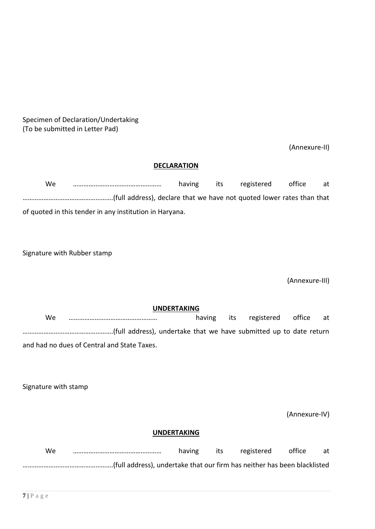Specimen of Declaration/Undertaking (To be submitted in Letter Pad)

(Annexure-II)

#### **DECLARATION**

| We |                                                         | having | its. | registered | office | at |
|----|---------------------------------------------------------|--------|------|------------|--------|----|
|    |                                                         |        |      |            |        |    |
|    | of quoted in this tender in any institution in Haryana. |        |      |            |        |    |

Signature with Rubber stamp

(Annexure-III)

**UNDERTAKING** We …………………………………………… having its registered office at …………………………………………….(full address), undertake that we have submitted up to date return and had no dues of Central and State Taxes.

Signature with stamp

(Annexure-IV)

#### **UNDERTAKING**

| We | having | its | registered | office | at |
|----|--------|-----|------------|--------|----|
|    |        |     |            |        |    |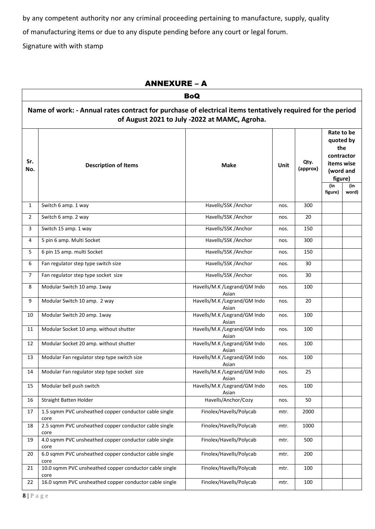by any competent authority nor any criminal proceeding pertaining to manufacture, supply, quality

of manufacturing items or due to any dispute pending before any court or legal forum.

Signature with with stamp

|                | <b>ANNEXURE - A</b>                                                                                                                                         |                                       |             |                  |                                                                                        |                            |  |  |  |
|----------------|-------------------------------------------------------------------------------------------------------------------------------------------------------------|---------------------------------------|-------------|------------------|----------------------------------------------------------------------------------------|----------------------------|--|--|--|
|                |                                                                                                                                                             | <b>BoQ</b>                            |             |                  |                                                                                        |                            |  |  |  |
|                | Name of work: - Annual rates contract for purchase of electrical items tentatively required for the period<br>of August 2021 to July -2022 at MAMC, Agroha. |                                       |             |                  |                                                                                        |                            |  |  |  |
| Sr.<br>No.     | <b>Description of Items</b>                                                                                                                                 | <b>Make</b>                           | <b>Unit</b> | Qty.<br>(approx) | Rate to be<br>quoted by<br>the<br>items wise<br>(word and<br>figure)<br>(in<br>figure) | contractor<br>(in<br>word) |  |  |  |
| $\mathbf{1}$   | Switch 6 amp. 1 way                                                                                                                                         | Havells/SSK /Anchor                   | nos.        | 300              |                                                                                        |                            |  |  |  |
| $\overline{2}$ | Switch 6 amp. 2 way                                                                                                                                         | Havells/SSK /Anchor                   | nos.        | 20               |                                                                                        |                            |  |  |  |
| 3              | Switch 15 amp. 1 way                                                                                                                                        | Havells/SSK / Anchor                  | nos.        | 150              |                                                                                        |                            |  |  |  |
| 4              | 5 pin 6 amp. Multi Socket                                                                                                                                   | Havells/SSK / Anchor                  | nos.        | 300              |                                                                                        |                            |  |  |  |
| 5              | 6 pin 15 amp. multi Socket                                                                                                                                  | Havells/SSK / Anchor                  | nos.        | 150              |                                                                                        |                            |  |  |  |
| 6              | Fan regulator step type switch size                                                                                                                         | Havells/SSK / Anchor                  | nos.        | 30               |                                                                                        |                            |  |  |  |
| 7              | Fan regulator step type socket size                                                                                                                         | Havells/SSK / Anchor                  | nos.        | 30               |                                                                                        |                            |  |  |  |
| 8              | Modular Switch 10 amp. 1way                                                                                                                                 | Havells/M.K /Legrand/GM Indo<br>Asian | nos.        | 100              |                                                                                        |                            |  |  |  |
| 9              | Modular Switch 10 amp. 2 way                                                                                                                                | Havells/M.K /Legrand/GM Indo<br>Asian | nos.        | 20               |                                                                                        |                            |  |  |  |
| 10             | Modular Switch 20 amp. 1way                                                                                                                                 | Havells/M.K /Legrand/GM Indo<br>Asian | nos.        | 100              |                                                                                        |                            |  |  |  |
| 11             | Modular Socket 10 amp. without shutter                                                                                                                      | Havells/M.K /Legrand/GM Indo<br>Asian | nos.        | 100              |                                                                                        |                            |  |  |  |
| 12             | Modular Socket 20 amp. without shutter                                                                                                                      | Havells/M.K /Legrand/GM Indo<br>Asian | nos.        | 100              |                                                                                        |                            |  |  |  |
| 13             | Modular Fan regulator step type switch size                                                                                                                 | Havells/M.K /Legrand/GM Indo<br>Asian | nos.        | 100              |                                                                                        |                            |  |  |  |
| 14             | Modular Fan regulator step type socket size                                                                                                                 | Havells/M.K /Legrand/GM Indo<br>Asian | nos.        | 25               |                                                                                        |                            |  |  |  |
| 15             | Modular bell push switch                                                                                                                                    | Havells/M.K /Legrand/GM Indo<br>Asian | nos.        | 100              |                                                                                        |                            |  |  |  |
| 16             | Straight Batten Holder                                                                                                                                      | Havells/Anchor/Cozy                   | nos.        | 50               |                                                                                        |                            |  |  |  |
| 17             | 1.5 sqmm PVC unsheathed copper conductor cable single<br>core                                                                                               | Finolex/Havells/Polycab               | mtr.        | 2000             |                                                                                        |                            |  |  |  |
| 18             | 2.5 sqmm PVC unsheathed copper conductor cable single<br>core                                                                                               | Finolex/Havells/Polycab               | mtr.        | 1000             |                                                                                        |                            |  |  |  |
| 19             | 4.0 sqmm PVC unsheathed copper conductor cable single<br>core                                                                                               | Finolex/Havells/Polycab               | mtr.        | 500              |                                                                                        |                            |  |  |  |
| 20             | 6.0 sqmm PVC unsheathed copper conductor cable single<br>core                                                                                               | Finolex/Havells/Polycab               | mtr.        | 200              |                                                                                        |                            |  |  |  |
| 21             | 10.0 sqmm PVC unsheathed copper conductor cable single<br>core                                                                                              | Finolex/Havells/Polycab               | mtr.        | 100              |                                                                                        |                            |  |  |  |
| 22             | 16.0 sqmm PVC unsheathed copper conductor cable single                                                                                                      | Finolex/Havells/Polycab               | mtr.        | 100              |                                                                                        |                            |  |  |  |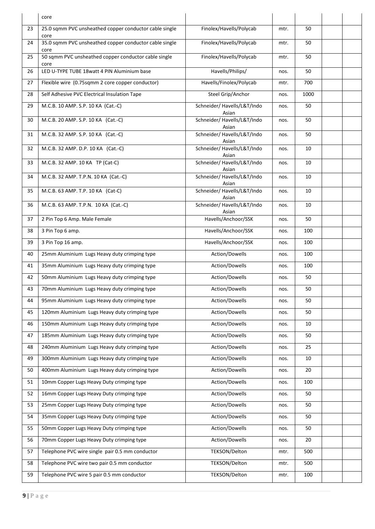|    | core                                                           |                                      |      |      |  |
|----|----------------------------------------------------------------|--------------------------------------|------|------|--|
| 23 | 25.0 sqmm PVC unsheathed copper conductor cable single<br>core | Finolex/Havells/Polycab              | mtr. | 50   |  |
| 24 | 35.0 sqmm PVC unsheathed copper conductor cable single<br>core | Finolex/Havells/Polycab              | mtr. | 50   |  |
| 25 | 50 sqmm PVC unsheathed copper conductor cable single<br>core   | Finolex/Havells/Polycab              | mtr. | 50   |  |
| 26 | LED U-TYPE TUBE 18watt 4 PIN Aluminium base                    | Havells/Philips/                     | nos. | 50   |  |
| 27 | Flexible wire (0.75sqmm 2 core copper conductor)               | Havells/Finolex/Polycab              | mtr. | 700  |  |
| 28 | Self Adhesive PVC Electrical Insulation Tape                   | Steel Grip/Anchor                    | nos. | 1000 |  |
| 29 | M.C.B. 10 AMP. S.P. 10 KA (Cat.-C)                             | Schneider/ Havells/L&T/Indo<br>Asian | nos. | 50   |  |
| 30 | M.C.B. 20 AMP. S.P. 10 KA (Cat.-C)                             | Schneider/ Havells/L&T/Indo<br>Asian | nos. | 50   |  |
| 31 | M.C.B. 32 AMP. S.P. 10 KA (Cat.-C)                             | Schneider/ Havells/L&T/Indo<br>Asian | nos. | 50   |  |
| 32 | M.C.B. 32 AMP. D.P. 10 KA (Cat.-C)                             | Schneider/ Havells/L&T/Indo<br>Asian | nos. | 10   |  |
| 33 | M.C.B. 32 AMP. 10 KA TP (Cat-C)                                | Schneider/ Havells/L&T/Indo<br>Asian | nos. | 10   |  |
| 34 | M.C.B. 32 AMP. T.P.N. 10 KA (Cat.-C)                           | Schneider/ Havells/L&T/Indo<br>Asian | nos. | 10   |  |
| 35 | M.C.B. 63 AMP. T.P. 10 KA (Cat-C)                              | Schneider/ Havells/L&T/Indo<br>Asian | nos. | 10   |  |
| 36 | M.C.B. 63 AMP. T.P.N. 10 KA (Cat.-C)                           | Schneider/ Havells/L&T/Indo<br>Asian | nos. | 10   |  |
| 37 | 2 Pin Top 6 Amp. Male Female                                   | Havells/Anchoor/SSK                  | nos. | 50   |  |
| 38 | 3 Pin Top 6 amp.                                               | Havells/Anchoor/SSK                  | nos. | 100  |  |
| 39 | 3 Pin Top 16 amp.                                              | Havells/Anchoor/SSK                  | nos. | 100  |  |
| 40 | 25mm Aluminium Lugs Heavy duty crimping type                   | Action/Dowells                       | nos. | 100  |  |
| 41 | 35mm Aluminium Lugs Heavy duty crimping type                   | Action/Dowells                       | nos. | 100  |  |
| 42 | 50mm Aluminium Lugs Heavy duty crimping type                   | Action/Dowells                       | nos. | 50   |  |
| 43 | 70mm Aluminium Lugs Heavy duty crimping type                   | Action/Dowells                       | nos. | 50   |  |
| 44 | 95mm Aluminium Lugs Heavy duty crimping type                   | Action/Dowells                       | nos. | 50   |  |
| 45 | 120mm Aluminium Lugs Heavy duty crimping type                  | Action/Dowells                       | nos. | 50   |  |
| 46 | 150mm Aluminium Lugs Heavy duty crimping type                  | Action/Dowells                       | nos. | 10   |  |
| 47 | 185mm Aluminium Lugs Heavy duty crimping type                  | Action/Dowells                       | nos. | 50   |  |
| 48 | 240mm Aluminium Lugs Heavy duty crimping type                  | Action/Dowells                       | nos. | 25   |  |
| 49 | 300mm Aluminium Lugs Heavy duty crimping type                  | Action/Dowells                       | nos. | 10   |  |
| 50 | 400mm Aluminium Lugs Heavy duty crimping type                  | Action/Dowells                       | nos. | 20   |  |
| 51 | 10mm Copper Lugs Heavy Duty crimping type                      | Action/Dowells                       | nos. | 100  |  |
| 52 | 16mm Copper Lugs Heavy Duty crimping type                      | Action/Dowells                       | nos. | 50   |  |
| 53 | 25mm Copper Lugs Heavy Duty crimping type                      | Action/Dowells                       | nos. | 50   |  |
| 54 | 35mm Copper Lugs Heavy Duty crimping type                      | Action/Dowells                       | nos. | 50   |  |
| 55 | 50mm Copper Lugs Heavy Duty crimping type                      | Action/Dowells                       | nos. | 50   |  |
| 56 | 70mm Copper Lugs Heavy Duty crimping type                      | Action/Dowells                       | nos. | 20   |  |
| 57 | Telephone PVC wire single pair 0.5 mm conductor                | TEKSON/Delton                        | mtr. | 500  |  |
| 58 | Telephone PVC wire two pair 0.5 mm conductor                   | TEKSON/Delton                        | mtr. | 500  |  |
| 59 | Telephone PVC wire 5 pair 0.5 mm conductor                     | TEKSON/Delton                        | mtr. | 100  |  |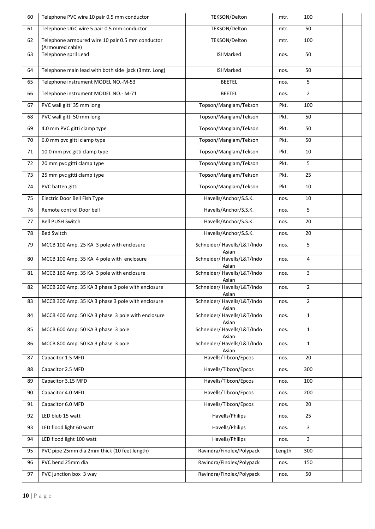| 60 | Telephone PVC wire 10 pair 0.5 mm conductor                          | TEKSON/Delton                        | mtr.   | 100            |  |
|----|----------------------------------------------------------------------|--------------------------------------|--------|----------------|--|
| 61 | Telephone UGC wire 5 pair 0.5 mm conductor                           | TEKSON/Delton                        | mtr.   | 50             |  |
| 62 | Telephone armoured wire 10 pair 0.5 mm conductor<br>(Armoured cable) | TEKSON/Delton                        | mtr.   | 100            |  |
| 63 | Telephone spril Lead                                                 | <b>ISI Marked</b>                    | nos.   | 50             |  |
| 64 | Telephone main lead with both side jack (3mtr. Long)                 | <b>ISI Marked</b>                    | nos.   | 50             |  |
| 65 | Telephone instrument MODEL NO.-M-53                                  | <b>BEETEL</b>                        | nos.   | 5              |  |
| 66 | Telephone instrument MODEL NO.- M-71                                 | <b>BEETEL</b>                        | nos.   | $\overline{2}$ |  |
| 67 | PVC wall gitti 35 mm long                                            | Topson/Manglam/Tekson                | Pkt.   | 100            |  |
| 68 | PVC wall gitti 50 mm long                                            | Topson/Manglam/Tekson                | Pkt.   | 50             |  |
| 69 | 4.0 mm PVC gitti clamp type                                          | Topson/Manglam/Tekson                | Pkt.   | 50             |  |
| 70 | 6.0 mm pvc gitti clamp type                                          | Topson/Manglam/Tekson                | Pkt.   | 50             |  |
| 71 | 10.0 mm pvc gitti clamp type                                         | Topson/Manglam/Tekson                | Pkt.   | 10             |  |
| 72 | 20 mm pvc gitti clamp type                                           | Topson/Manglam/Tekson                | Pkt.   | 5              |  |
| 73 | 25 mm pvc gitti clamp type                                           | Topson/Manglam/Tekson                | Pkt.   | 25             |  |
| 74 | PVC batten gitti                                                     | Topson/Manglam/Tekson                | Pkt.   | 10             |  |
| 75 | Electric Door Bell Fish Type                                         | Havells/Anchor/S.S.K.                | nos.   | 10             |  |
| 76 | Remote control Door bell                                             | Havells/Anchor/S.S.K.                | nos.   | 5              |  |
| 77 | <b>Bell PUSH Switch</b>                                              | Havells/Anchor/S.S.K.                | nos.   | 20             |  |
| 78 | <b>Bed Switch</b>                                                    | Havells/Anchor/S.S.K.                | nos.   | 20             |  |
| 79 | MCCB 100 Amp. 25 KA 3 pole with enclosure                            | Schneider/ Havells/L&T/Indo<br>Asian | nos.   | 5              |  |
| 80 | MCCB 100 Amp. 35 KA 4 pole with enclosure                            | Schneider/ Havells/L&T/Indo<br>Asian | nos.   | 4              |  |
| 81 | MCCB 160 Amp. 35 KA 3 pole with enclosure                            | Schneider/ Havells/L&T/Indo<br>Asian | nos.   | 3              |  |
| 82 | MCCB 200 Amp. 35 KA 3 phase 3 pole with enclosure                    | Schneider/ Havells/L&T/Indo<br>Asian | nos.   | $\overline{2}$ |  |
| 83 | MCCB 300 Amp. 35 KA 3 phase 3 pole with enclosure                    | Schneider/ Havells/L&T/Indo<br>Asian | nos.   | $\overline{2}$ |  |
| 84 | MCCB 400 Amp. 50 KA 3 phase 3 pole with enclosure                    | Schneider/ Havells/L&T/Indo<br>Asian | nos.   | $\mathbf{1}$   |  |
| 85 | MCCB 600 Amp. 50 KA 3 phase 3 pole                                   | Schneider/ Havells/L&T/Indo<br>Asian | nos.   | $\mathbf{1}$   |  |
| 86 | MCCB 800 Amp. 50 KA 3 phase 3 pole                                   | Schneider/ Havells/L&T/Indo<br>Asian | nos.   | $\mathbf{1}$   |  |
| 87 | Capacitor 1.5 MFD                                                    | Havells/Tibcon/Epcos                 | nos.   | 20             |  |
| 88 | Capacitor 2.5 MFD                                                    | Havells/Tibcon/Epcos                 | nos.   | 300            |  |
| 89 | Capacitor 3.15 MFD                                                   | Havells/Tibcon/Epcos                 | nos.   | 100            |  |
| 90 | Capacitor 4.0 MFD                                                    | Havells/Tibcon/Epcos                 | nos.   | 200            |  |
| 91 | Capacitor 6.0 MFD                                                    | Havells/Tibcon/Epcos                 | nos.   | 20             |  |
| 92 | LED blub 15 watt                                                     | Havells/Philips                      | nos.   | 25             |  |
| 93 | LED flood light 60 watt                                              | Havells/Philips                      | nos.   | $\overline{3}$ |  |
| 94 | LED flood light 100 watt                                             | Havells/Philips                      | nos.   | 3              |  |
| 95 | PVC pipe 25mm dia 2mm thick (10 feet length)                         | Ravindra/Finolex/Polypack            | Length | 300            |  |
| 96 | PVC bend 25mm dia                                                    | Ravindra/Finolex/Polypack            | nos.   | 150            |  |
| 97 | PVC junction box 3 way                                               | Ravindra/Finolex/Polypack            | nos.   | 50             |  |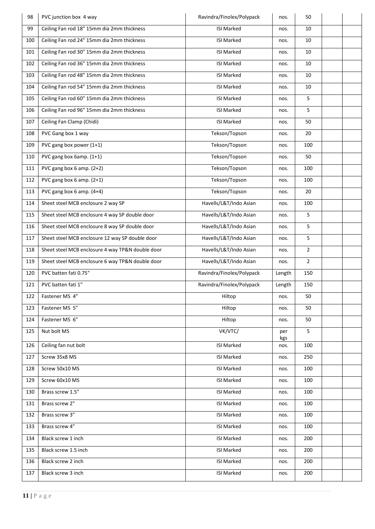| 98  | PVC junction box 4 way                           | Ravindra/Finolex/Polypack | nos.       | 50             |  |
|-----|--------------------------------------------------|---------------------------|------------|----------------|--|
| 99  | Ceiling Fan rod 18" 15mm dia 2mm thickness       | <b>ISI Marked</b>         | nos.       | 10             |  |
| 100 | Ceiling Fan rod 24" 15mm dia 2mm thickness       | <b>ISI</b> Marked         | nos.       | 10             |  |
| 101 | Ceiling Fan rod 30" 15mm dia 2mm thickness       | <b>ISI Marked</b>         | nos.       | 10             |  |
| 102 | Ceiling Fan rod 36" 15mm dia 2mm thickness       | <b>ISI Marked</b>         | nos.       | 10             |  |
| 103 | Ceiling Fan rod 48" 15mm dia 2mm thickness       | <b>ISI Marked</b>         | nos.       | 10             |  |
| 104 | Ceiling Fan rod 54" 15mm dia 2mm thickness       | <b>ISI Marked</b>         | nos.       | 10             |  |
| 105 | Ceiling Fan rod 60" 15mm dia 2mm thickness       | <b>ISI Marked</b>         | nos.       | 5              |  |
| 106 | Ceiling Fan rod 96" 15mm dia 2mm thickness       | <b>ISI Marked</b>         | nos.       | 5              |  |
| 107 | Ceiling Fan Clamp (Chidi)                        | <b>ISI Marked</b>         | nos.       | 50             |  |
| 108 | PVC Gang box 1 way                               | Tekson/Topson             | nos.       | 20             |  |
| 109 | PVC gang box power (1+1)                         | Tekson/Topson             | nos.       | 100            |  |
| 110 | PVC gang box 6amp. $(1+1)$                       | Tekson/Topson             | nos.       | 50             |  |
| 111 | PVC gang box 6 amp. (2+2)                        | Tekson/Topson             | nos.       | 100            |  |
| 112 | PVC gang box 6 amp. $(2+1)$                      | Tekson/Topson             | nos.       | 100            |  |
| 113 | PVC gang box 6 amp. (4+4)                        | Tekson/Topson             | nos.       | 20             |  |
| 114 | Sheet steel MCB enclosure 2 way SP               | Havells/L&T/Indo Asian    | nos.       | 100            |  |
| 115 | Sheet steel MCB enclosure 4 way SP double door   | Havells/L&T/Indo Asian    | nos.       | 5              |  |
| 116 | Sheet steel MCB enclosure 8 way SP double door   | Havells/L&T/Indo Asian    | nos.       | 5              |  |
| 117 | Sheet steel MCB enclosure 12 way SP double door  | Havells/L&T/Indo Asian    | nos.       | 5              |  |
| 118 | Sheet steel MCB enclosure 4 way TP&N double door | Havells/L&T/Indo Asian    | nos.       | $\overline{2}$ |  |
| 119 | Sheet steel MCB enclosure 6 way TP&N double door | Havells/L&T/Indo Asian    | nos.       | $\overline{2}$ |  |
| 120 | PVC batten fati 0.75"                            | Ravindra/Finolex/Polypack | Length     | 150            |  |
| 121 | PVC batten fati 1"                               | Ravindra/Finolex/Polypack | Length     | 150            |  |
| 122 | Fastener MS 4"                                   | Hiltop                    | nos.       | 50             |  |
| 123 | Fastener MS 5"                                   | Hiltop                    | nos.       | 50             |  |
| 124 | Fastener MS 6"                                   | Hiltop                    | nos.       | 50             |  |
| 125 | Nut bolt MS                                      | VK/VTC/                   | per<br>kgs | 5              |  |
| 126 | Ceiling fan nut bolt                             | <b>ISI Marked</b>         | nos.       | 100            |  |
| 127 | Screw 35x8 MS                                    | <b>ISI Marked</b>         | nos.       | 250            |  |
| 128 | Screw 50x10 MS                                   | <b>ISI Marked</b>         | nos.       | 100            |  |
| 129 | Screw 60x10 MS                                   | <b>ISI Marked</b>         | nos.       | 100            |  |
| 130 | Brass screw 1.5"                                 | <b>ISI Marked</b>         | nos.       | 100            |  |
| 131 | Brass screw 2"                                   | <b>ISI Marked</b>         | nos.       | 100            |  |
| 132 | Brass screw 3"                                   | <b>ISI Marked</b>         | nos.       | 100            |  |
| 133 | Brass screw 4"                                   | <b>ISI Marked</b>         | nos.       | 100            |  |
| 134 | Black screw 1 inch                               | <b>ISI Marked</b>         | nos.       | 200            |  |
| 135 | Black screw 1.5 inch                             | <b>ISI Marked</b>         | nos.       | 200            |  |
|     |                                                  |                           |            |                |  |
| 136 | Black screw 2 inch                               | <b>ISI Marked</b>         | nos.       | 200            |  |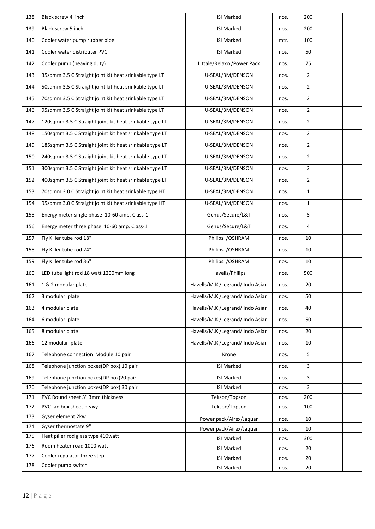| 138 | Black screw 4 inch                                      | <b>ISI Marked</b>                | nos. | 200            |  |
|-----|---------------------------------------------------------|----------------------------------|------|----------------|--|
| 139 | Black screw 5 inch                                      | <b>ISI Marked</b>                | nos. | 200            |  |
| 140 | Cooler water pump rubber pipe                           | <b>ISI Marked</b>                | mtr. | 100            |  |
| 141 | Cooler water distributer PVC                            | <b>ISI Marked</b>                | nos. | 50             |  |
| 142 | Cooler pump (heaving duty)                              | Littale/Relaxo /Power Pack       | nos. | 75             |  |
| 143 | 35sqmm 3.5 C Straight joint kit heat srinkable type LT  | U-SEAL/3M/DENSON                 | nos. | $\overline{2}$ |  |
| 144 | 50sqmm 3.5 C Straight joint kit heat srinkable type LT  | U-SEAL/3M/DENSON                 | nos. | $\overline{2}$ |  |
| 145 | 70sqmm 3.5 C Straight joint kit heat srinkable type LT  | U-SEAL/3M/DENSON                 | nos. | $\overline{2}$ |  |
| 146 | 95sqmm 3.5 C Straight joint kit heat srinkable type LT  | U-SEAL/3M/DENSON                 | nos. | $\overline{2}$ |  |
| 147 | 120sqmm 3.5 C Straight joint kit heat srinkable type LT | U-SEAL/3M/DENSON                 | nos. | $\overline{2}$ |  |
| 148 | 150sqmm 3.5 C Straight joint kit heat srinkable type LT | U-SEAL/3M/DENSON                 | nos. | $\overline{2}$ |  |
| 149 | 185sqmm 3.5 C Straight joint kit heat srinkable type LT | U-SEAL/3M/DENSON                 | nos. | $\overline{2}$ |  |
| 150 | 240sqmm 3.5 C Straight joint kit heat srinkable type LT | U-SEAL/3M/DENSON                 | nos. | $\overline{2}$ |  |
| 151 | 300sqmm 3.5 C Straight joint kit heat srinkable type LT | U-SEAL/3M/DENSON                 | nos. | $\overline{2}$ |  |
| 152 | 400sqmm 3.5 C Straight joint kit heat srinkable type LT | U-SEAL/3M/DENSON                 | nos. | $\overline{2}$ |  |
| 153 | 70sqmm 3.0 C Straight joint kit heat srinkable type HT  | U-SEAL/3M/DENSON                 | nos. | $\mathbf{1}$   |  |
| 154 | 95sqmm 3.0 C Straight joint kit heat srinkable type HT  | U-SEAL/3M/DENSON                 | nos. | $\mathbf{1}$   |  |
| 155 | Energy meter single phase 10-60 amp. Class-1            | Genus/Secure/L&T                 | nos. | 5              |  |
| 156 | Energy meter three phase 10-60 amp. Class-1             | Genus/Secure/L&T                 | nos. | 4              |  |
| 157 | Fly Killer tube rod 18"                                 | Philips / OSHRAM                 | nos. | 10             |  |
| 158 | Fly Killer tube rod 24"                                 | Philips / OSHRAM                 | nos. | 10             |  |
| 159 | Fly Killer tube rod 36"                                 | Philips / OSHRAM                 | nos. | 10             |  |
| 160 | LED tube light rod 18 watt 1200mm long                  | Havells/Philips                  | nos. | 500            |  |
| 161 | 1 & 2 modular plate                                     | Havells/M.K /Legrand/ Indo Asian | nos. | 20             |  |
| 162 | 3 modular plate                                         | Havells/M.K /Legrand/ Indo Asian | nos. | 50             |  |
| 163 | 4 modular plate                                         | Havells/M.K /Legrand/ Indo Asian | nos. | 40             |  |
| 164 | 6 modular plate                                         | Havells/M.K /Legrand/ Indo Asian | nos. | 50             |  |
| 165 | 8 modular plate                                         | Havells/M.K /Legrand/ Indo Asian | nos. | 20             |  |
| 166 | 12 modular plate                                        | Havells/M.K /Legrand/ Indo Asian | nos. | 10             |  |
| 167 | Telephone connection Module 10 pair                     | Krone                            | nos. | 5              |  |
| 168 | Telephone junction boxes(DP box) 10 pair                | <b>ISI Marked</b>                | nos. | 3              |  |
| 169 | Telephone junction boxes(DP box)20 pair                 | <b>ISI Marked</b>                | nos. | 3              |  |
| 170 | Telephone junction boxes(DP box) 30 pair                | <b>ISI Marked</b>                | nos. | 3              |  |
| 171 | PVC Round sheet 3" 3mm thickness                        | Tekson/Topson                    | nos. | 200            |  |
| 172 | PVC fan box sheet heavy                                 | Tekson/Topson                    | nos. | 100            |  |
| 173 | Gyser element 2kw                                       | Power pack/Airex/Jaquar          | nos. | 10             |  |
| 174 | Gyser thermostate 9"                                    | Power pack/Airex/Jaquar          | nos. | 10             |  |
| 175 | Heat piller rod glass type 400watt                      | <b>ISI Marked</b>                | nos. | 300            |  |
| 176 | Room heater road 1000 watt                              | <b>ISI Marked</b>                | nos. | 20             |  |
| 177 | Cooler regulator three step                             | <b>ISI Marked</b>                | nos. | 20             |  |
| 178 | Cooler pump switch                                      | <b>ISI Marked</b>                | nos. | 20             |  |